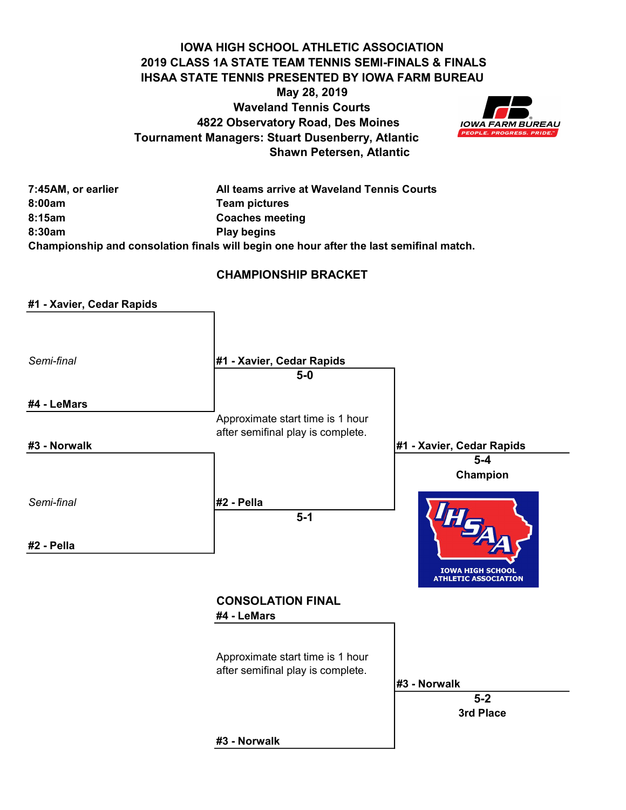#### IOWA HIGH SCHOOL ATHLETIC ASSOCIATION 2019 CLASS 1A STATE TEAM TENNIS SEMI-FINALS & FINALS IHSAA STATE TENNIS PRESENTED BY IOWA FARM BUREAU May 28, 2019 Waveland Tennis Courts 4822 Observatory Road, Des Moines Tournament Managers: Stuart Dusenberry, Atlantic Shawn Petersen, Atlantic



7:45AM, or earlier All teams arrive at Waveland Tennis Courts 8:00am Team pictures 8:15am Coaches meeting 8:30am Play begins Championship and consolation finals will begin one hour after the last semifinal match.

#### CHAMPIONSHIP BRACKET

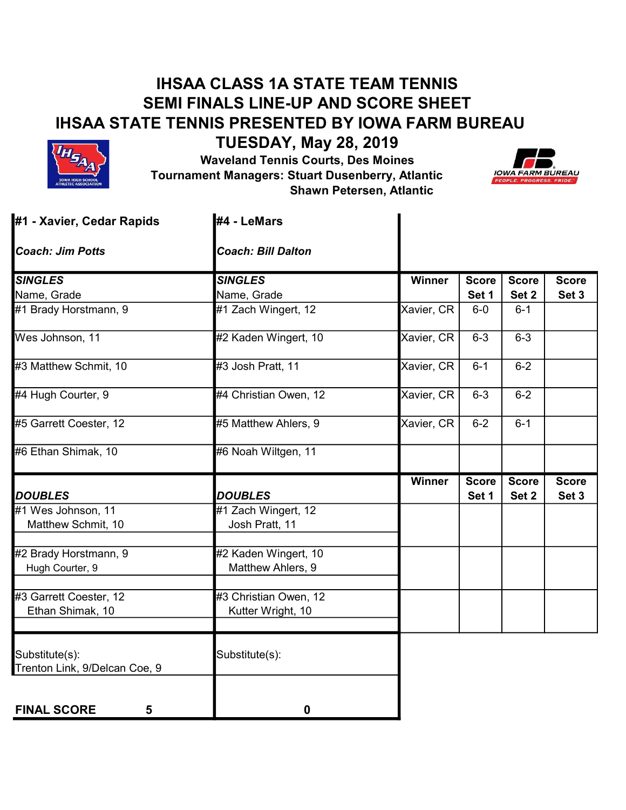# IHSAA CLASS 1A STATE TEAM TENNIS SEMI FINALS LINE-UP AND SCORE SHEET IHSAA STATE TENNIS PRESENTED BY IOWA FARM BUREAU



TUESDAY, May 28, 2019 Waveland Tennis Courts, Des Moines Tournament Managers: Stuart Dusenberry, Atlantic Shawn Petersen, Atlantic



| #1 - Xavier, Cedar Rapids                       | #4 - LeMars               |            |                       |                       |                       |
|-------------------------------------------------|---------------------------|------------|-----------------------|-----------------------|-----------------------|
| <b>Coach: Jim Potts</b>                         | <b>Coach: Bill Dalton</b> |            |                       |                       |                       |
| <b>SINGLES</b>                                  | <b>SINGLES</b>            | Winner     | <b>Score</b>          | <b>Score</b>          | <b>Score</b>          |
| Name, Grade                                     | Name, Grade               |            | Set 1                 | Set 2                 | Set 3                 |
| #1 Brady Horstmann, 9                           | #1 Zach Wingert, 12       | Xavier, CR | $6-0$                 | $6 - 1$               |                       |
| Wes Johnson, 11                                 | #2 Kaden Wingert, 10      | Xavier, CR | $6 - 3$               | $6 - 3$               |                       |
| #3 Matthew Schmit, 10                           | #3 Josh Pratt, 11         | Xavier, CR | $6 - 1$               | $6 - 2$               |                       |
| #4 Hugh Courter, 9                              | #4 Christian Owen, 12     | Xavier, CR | $6 - 3$               | $6 - 2$               |                       |
| #5 Garrett Coester, 12                          | #5 Matthew Ahlers, 9      | Xavier, CR | $6 - 2$               | $6 - 1$               |                       |
| #6 Ethan Shimak, 10                             | #6 Noah Wiltgen, 11       |            |                       |                       |                       |
|                                                 | <b>DOUBLES</b>            | Winner     | <b>Score</b><br>Set 1 | <b>Score</b><br>Set 2 | <b>Score</b><br>Set 3 |
| <b>DOUBLES</b><br>#1 Wes Johnson, 11            | #1 Zach Wingert, 12       |            |                       |                       |                       |
|                                                 |                           |            |                       |                       |                       |
| Matthew Schmit, 10                              | Josh Pratt, 11            |            |                       |                       |                       |
| #2 Brady Horstmann, 9                           | #2 Kaden Wingert, 10      |            |                       |                       |                       |
| Hugh Courter, 9                                 | Matthew Ahlers, 9         |            |                       |                       |                       |
| #3 Garrett Coester, 12                          | #3 Christian Owen, 12     |            |                       |                       |                       |
| Ethan Shimak, 10                                | Kutter Wright, 10         |            |                       |                       |                       |
| Substitute(s):<br>Trenton Link, 9/Delcan Coe, 9 | Substitute(s):            |            |                       |                       |                       |
|                                                 |                           |            |                       |                       |                       |
| <b>FINAL SCORE</b><br>5                         | 0                         |            |                       |                       |                       |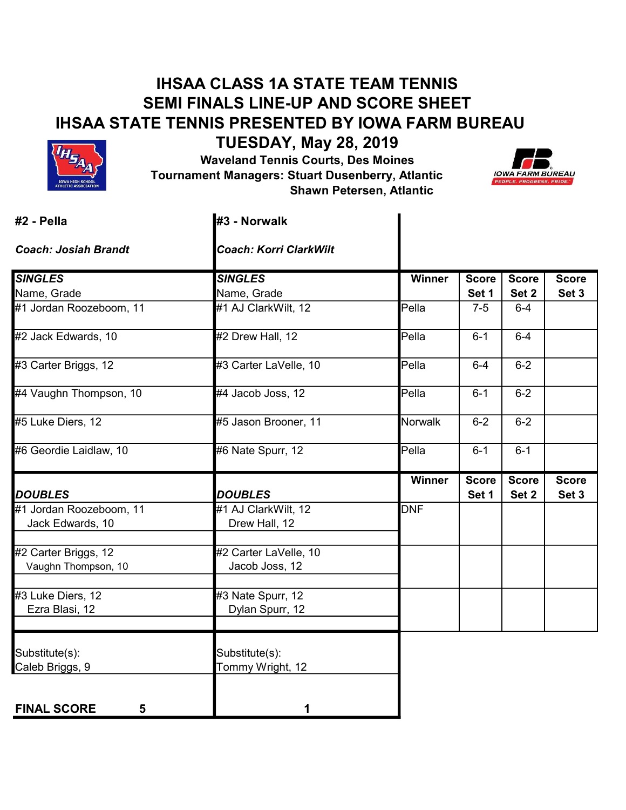# IHSAA CLASS 1A STATE TEAM TENNIS SEMI FINALS LINE-UP AND SCORE SHEET IHSAA STATE TENNIS PRESENTED BY IOWA FARM BUREAU



TUESDAY, May 28, 2019

 Waveland Tennis Courts, Des Moines Tournament Managers: Stuart Dusenberry, Atlantic Shawn Petersen, Atlantic



| #2 - Pella                  | <b>I</b> #3 - Norwalk         |                              |              |              |              |
|-----------------------------|-------------------------------|------------------------------|--------------|--------------|--------------|
| <b>Coach: Josiah Brandt</b> | <b>Coach: Korri ClarkWilt</b> |                              |              |              |              |
| <b>SINGLES</b>              | <b>SINGLES</b>                | Winner                       | <b>Score</b> | <b>Score</b> | <b>Score</b> |
| Name, Grade                 | Name, Grade                   |                              | Set 1        | Set 2        | Set 3        |
| #1 Jordan Roozeboom, 11     | #1 AJ ClarkWilt, 12           | $\overline{\mathsf{P}}$ ella | $7 - 5$      | $6 - 4$      |              |
| #2 Jack Edwards, 10         | #2 Drew Hall, 12              | Pella                        | $6 - 1$      | $6-4$        |              |
| #3 Carter Briggs, 12        | #3 Carter LaVelle, 10         | Pella                        | $6 - 4$      | $6 - 2$      |              |
| #4 Vaughn Thompson, 10      | #4 Jacob Joss, 12             | Pella                        | $6 - 1$      | $6 - 2$      |              |
| #5 Luke Diers, 12           | #5 Jason Brooner, 11          | Norwalk                      | $6 - 2$      | $6 - 2$      |              |
| #6 Geordie Laidlaw, 10      | #6 Nate Spurr, 12             | $Pe$ lla                     | $6 - 1$      | $6 - 1$      |              |
|                             |                               | Winner                       | <b>Score</b> | <b>Score</b> | <b>Score</b> |
| <b>DOUBLES</b>              | <b>DOUBLES</b>                |                              | Set 1        | Set 2        | Set 3        |
| #1 Jordan Roozeboom, 11     | #1 AJ ClarkWilt, 12           | <b>DNF</b>                   |              |              |              |
| Jack Edwards, 10            | Drew Hall, 12                 |                              |              |              |              |
| #2 Carter Briggs, 12        | #2 Carter LaVelle, 10         |                              |              |              |              |
| Vaughn Thompson, 10         | Jacob Joss, 12                |                              |              |              |              |
| #3 Luke Diers, 12           | #3 Nate Spurr, 12             |                              |              |              |              |
| Ezra Blasi, 12              | Dylan Spurr, 12               |                              |              |              |              |
| Substitute(s):              | Substitute(s):                |                              |              |              |              |
| Caleb Briggs, 9             | Tommy Wright, 12              |                              |              |              |              |
| <b>FINAL SCORE</b><br>5     |                               |                              |              |              |              |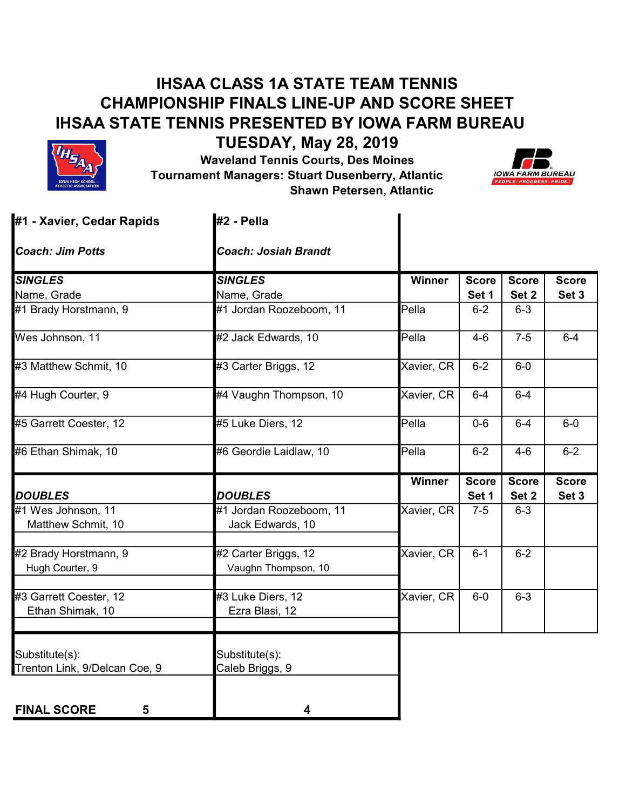# IHSAA CLASS 1A STATE TEAM TENNIS CHAMPIONSHIP FINALS LINE-UP AND SCORE SHEET IHSAA STATE TENNIS PRESENTED BY IOWA FARM BUREAU



TUESDAY, May 28, 2019 Waveland Tennis Courts, Des Moines Tournament Managers: Stuart Dusenberry, Atlantic Shawn Petersen, Atlantic



| #1 - Xavier, Cedar Rapids     | #2 - Pella                  |            |                       |                       |                       |
|-------------------------------|-----------------------------|------------|-----------------------|-----------------------|-----------------------|
| <b>Coach: Jim Potts</b>       | <b>Coach: Josiah Brandt</b> |            |                       |                       |                       |
| <b>SINGLES</b>                | <b>SINGLES</b>              | Winner     | <b>Score</b>          | <b>Score</b>          | <b>Score</b>          |
| Name, Grade                   | Name, Grade                 |            | Set 1                 | Set 2                 | Set 3                 |
| #1 Brady Horstmann, 9         | #1 Jordan Roozeboom, 11     | Pella      | $6 - 2$               | $6 - 3$               |                       |
| Wes Johnson, 11               | #2 Jack Edwards, 10         | Pella      | $4 - 6$               | $7-5$                 | $6-4$                 |
| #3 Matthew Schmit, 10         | #3 Carter Briggs, 12        | Xavier, CR | $6 - 2$               | $6-0$                 |                       |
| #4 Hugh Courter, 9            | #4 Vaughn Thompson, 10      | Xavier, CR | $6 - 4$               | $6-4$                 |                       |
| #5 Garrett Coester, 12        | #5 Luke Diers, 12           | Pella      | $0 - 6$               | $6 - 4$               | $6-0$                 |
| #6 Ethan Shimak, 10           | #6 Geordie Laidlaw, 10      | Pella      | $6 - 2$               | $4 - 6$               | $6-2$                 |
| <b>DOUBLES</b>                | <b>DOUBLES</b>              | Winner     | <b>Score</b><br>Set 1 | <b>Score</b><br>Set 2 | <b>Score</b><br>Set 3 |
| #1 Wes Johnson, 11            | #1 Jordan Roozeboom, 11     | Xavier, CR | $7-5$                 | $6 - 3$               |                       |
| Matthew Schmit, 10            | Jack Edwards, 10            |            |                       |                       |                       |
|                               |                             |            |                       |                       |                       |
| #2 Brady Horstmann, 9         | #2 Carter Briggs, 12        | Xavier, CR | $6 - 1$               | $6 - 2$               |                       |
| Hugh Courter, 9               | Vaughn Thompson, 10         |            |                       |                       |                       |
| #3 Garrett Coester, 12        | #3 Luke Diers, 12           | Xavier, CR | $6-0$                 | $6 - 3$               |                       |
| Ethan Shimak, 10              | Ezra Blasi, 12              |            |                       |                       |                       |
|                               |                             |            |                       |                       |                       |
| Substitute(s):                | Substitute(s):              |            |                       |                       |                       |
| Trenton Link, 9/Delcan Coe, 9 | Caleb Briggs, 9             |            |                       |                       |                       |
|                               |                             |            |                       |                       |                       |
| <b>FINAL SCORE</b><br>5       | 4                           |            |                       |                       |                       |